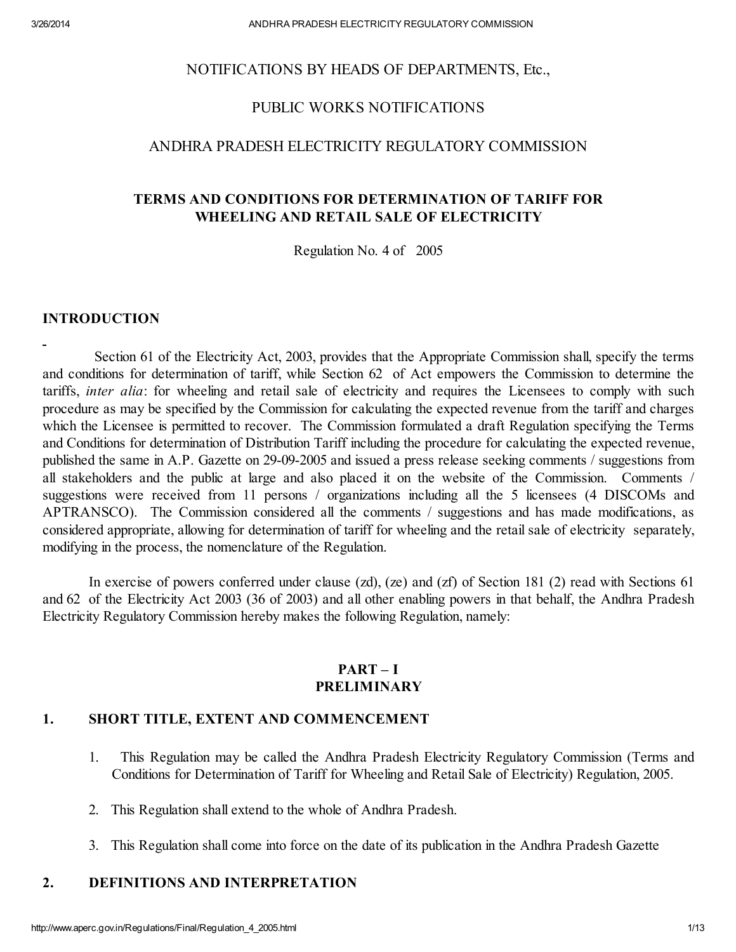#### NOTIFICATIONS BY HEADS OF DEPARTMENTS, Etc.,

## PUBLIC WORKS NOTIFICATIONS

## ANDHRA PRADESH ELECTRICITY REGULATORY COMMISSION

### TERMS AND CONDITIONS FOR DETERMINATION OF TARIFF FOR WHEELING AND RETAIL SALE OF ELECTRICITY

Regulation No. 4 of 2005

#### INTRODUCTION

Section 61 of the Electricity Act, 2003, provides that the Appropriate Commission shall, specify the terms and conditions for determination of tariff, while Section 62 of Act empowers the Commission to determine the tariffs, *inter alia*: for wheeling and retail sale of electricity and requires the Licensees to comply with such procedure as may be specified by the Commission for calculating the expected revenue from the tariff and charges which the Licensee is permitted to recover. The Commission formulated a draft Regulation specifying the Terms and Conditions for determination of Distribution Tariff including the procedure for calculating the expected revenue, published the same in A.P. Gazette on 29-09-2005 and issued a press release seeking comments / suggestions from all stakeholders and the public at large and also placed it on the website of the Commission. Comments / suggestions were received from 11 persons / organizations including all the 5 licensees (4 DISCOMs and APTRANSCO). The Commission considered all the comments / suggestions and has made modifications, as considered appropriate, allowing for determination of tariff for wheeling and the retail sale of electricity separately, modifying in the process, the nomenclature of the Regulation.

In exercise of powers conferred under clause (zd), (ze) and (zf) of Section 181 (2) read with Sections 61 and 62 of the Electricity Act 2003 (36 of 2003) and all other enabling powers in that behalf, the Andhra Pradesh Electricity Regulatory Commission hereby makes the following Regulation, namely:

#### PART – I PRELIMINARY

#### 1. SHORT TITLE, EXTENT AND COMMENCEMENT

- 1. This Regulation may be called the Andhra Pradesh Electricity Regulatory Commission (Terms and Conditions for Determination of Tariff for Wheeling and Retail Sale of Electricity) Regulation, 2005.
- 2. This Regulation shall extend to the whole of Andhra Pradesh.
- 3. This Regulation shall come into force on the date of its publication in the Andhra Pradesh Gazette

#### 2. DEFINITIONS AND INTERPRETATION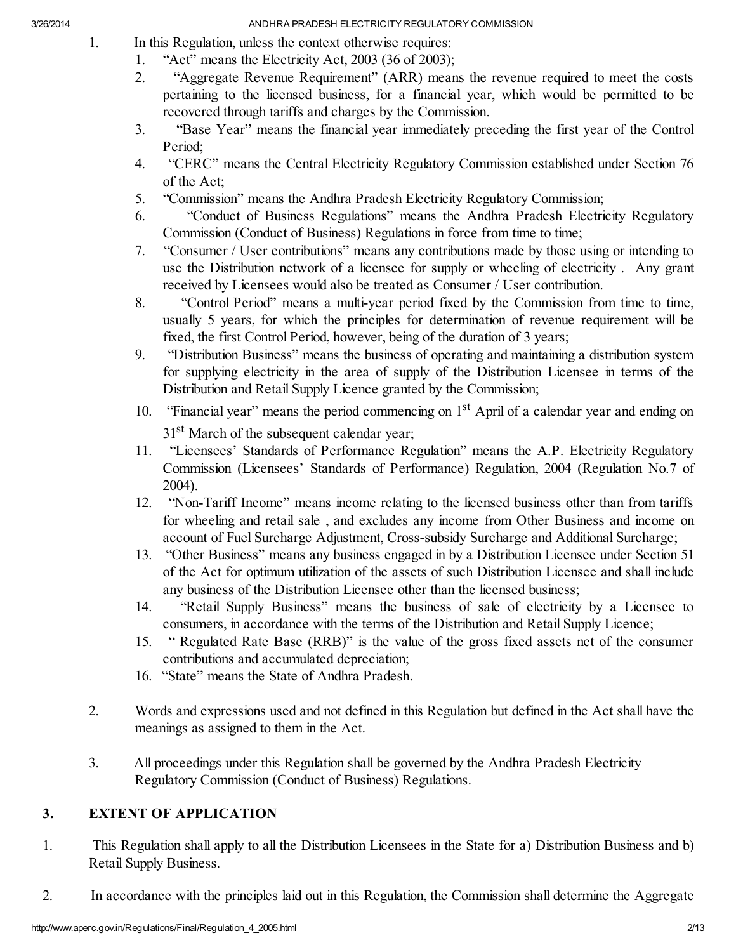- 1. In this Regulation, unless the context otherwise requires:
	- 1. "Act" means the Electricity Act, 2003 (36 of 2003);
	- 2. "Aggregate Revenue Requirement" (ARR) means the revenue required to meet the costs pertaining to the licensed business, for a financial year, which would be permitted to be recovered through tariffs and charges by the Commission.
	- 3. "Base Year" means the financial year immediately preceding the first year of the Control Period;
	- 4. "CERC" means the Central Electricity Regulatory Commission established under Section 76 of the Act;
	- 5. "Commission" means the Andhra Pradesh Electricity Regulatory Commission;
	- 6. "Conduct of Business Regulations" means the Andhra Pradesh Electricity Regulatory Commission (Conduct of Business) Regulations in force from time to time;
	- 7. "Consumer / User contributions" means any contributions made by those using or intending to use the Distribution network of a licensee for supply or wheeling of electricity . Any grant received by Licensees would also be treated as Consumer / User contribution.
	- 8. "Control Period" means a multi-year period fixed by the Commission from time to time, usually 5 years, for which the principles for determination of revenue requirement will be fixed, the first Control Period, however, being of the duration of 3 years;
	- 9. "Distribution Business" means the business of operating and maintaining a distribution system for supplying electricity in the area of supply of the Distribution Licensee in terms of the Distribution and Retail Supply Licence granted by the Commission;
	- 10. "Financial year" means the period commencing on 1<sup>st</sup> April of a calendar year and ending on 31<sup>st</sup> March of the subsequent calendar year;
	- 11. "Licensees' Standards of Performance Regulation" means the A.P. Electricity Regulatory Commission (Licensees' Standards of Performance) Regulation, 2004 (Regulation No.7 of 2004).
	- 12. "Non-Tariff Income" means income relating to the licensed business other than from tariffs for wheeling and retail sale , and excludes any income from Other Business and income on account of Fuel Surcharge Adjustment, Cross-subsidy Surcharge and Additional Surcharge;
	- 13. "Other Business" means any business engaged in by a Distribution Licensee under Section 51 of the Act for optimum utilization of the assets of such Distribution Licensee and shall include any business of the Distribution Licensee other than the licensed business;
	- 14. "Retail Supply Business" means the business of sale of electricity by a Licensee to consumers, in accordance with the terms of the Distribution and Retail Supply Licence;
	- 15. " Regulated Rate Base (RRB)" is the value of the gross fixed assets net of the consumer contributions and accumulated depreciation;
	- 16. "State" means the State of Andhra Pradesh.
- 2. Words and expressions used and not defined in this Regulation but defined in the Act shall have the meanings as assigned to them in the Act.
- 3. All proceedings under this Regulation shall be governed by the Andhra Pradesh Electricity Regulatory Commission (Conduct of Business) Regulations.

# 3. EXTENT OF APPLICATION

- 1. This Regulation shall apply to all the Distribution Licensees in the State for a) Distribution Business and b) Retail Supply Business.
- 2. In accordance with the principles laid out in this Regulation, the Commission shall determine the Aggregate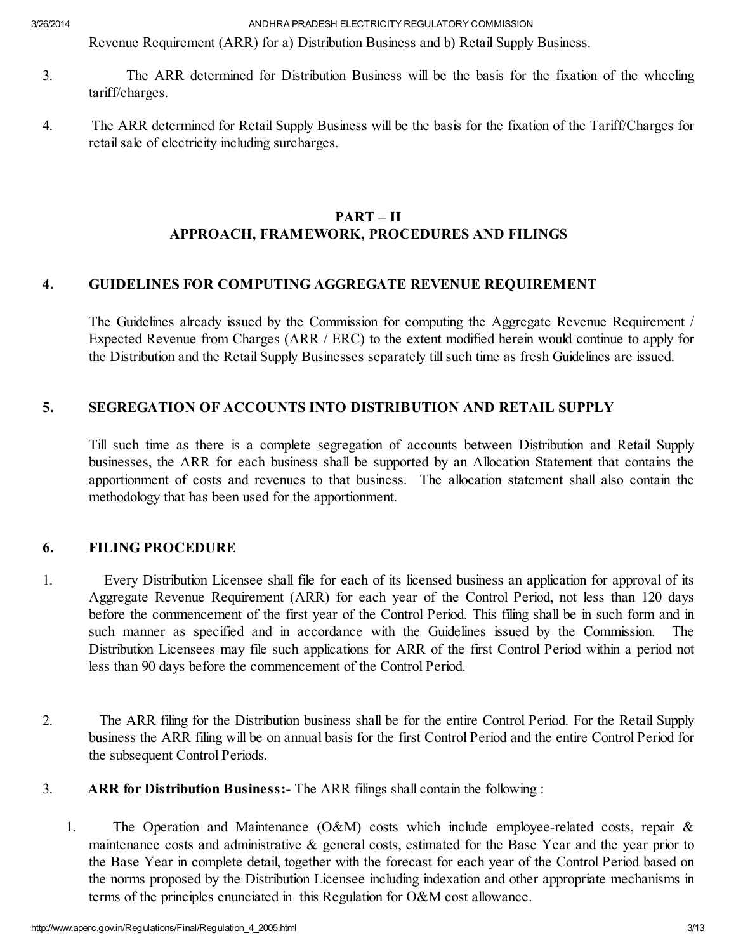Revenue Requirement (ARR) for a) Distribution Business and b) Retail Supply Business.

- 3. The ARR determined for Distribution Business will be the basis for the fixation of the wheeling tariff/charges.
- 4. The ARR determined for Retail Supply Business will be the basis for the fixation of the Tariff/Charges for retail sale of electricity including surcharges.

# PART – II APPROACH, FRAMEWORK, PROCEDURES AND FILINGS

## 4. GUIDELINES FOR COMPUTING AGGREGATE REVENUE REQUIREMENT

The Guidelines already issued by the Commission for computing the Aggregate Revenue Requirement / Expected Revenue from Charges (ARR / ERC) to the extent modified herein would continue to apply for the Distribution and the Retail Supply Businesses separately till such time as fresh Guidelines are issued.

## 5. SEGREGATION OF ACCOUNTS INTO DISTRIBUTION AND RETAIL SUPPLY

Till such time as there is a complete segregation of accounts between Distribution and Retail Supply businesses, the ARR for each business shall be supported by an Allocation Statement that contains the apportionment of costs and revenues to that business. The allocation statement shall also contain the methodology that has been used for the apportionment.

## 6. FILING PROCEDURE

- 1. Every Distribution Licensee shall file for each of its licensed business an application for approval of its Aggregate Revenue Requirement (ARR) for each year of the Control Period, not less than 120 days before the commencement of the first year of the Control Period. This filing shall be in such form and in such manner as specified and in accordance with the Guidelines issued by the Commission. The Distribution Licensees may file such applications for ARR of the first Control Period within a period not less than 90 days before the commencement of the Control Period.
- 2. The ARR filing for the Distribution business shall be for the entire Control Period. For the Retail Supply business the ARR filing will be on annual basis for the first Control Period and the entire Control Period for the subsequent Control Periods.
- 3. ARR for Distribution Business:- The ARR filings shall contain the following :
	- 1. The Operation and Maintenance (O&M) costs which include employee-related costs, repair & maintenance costs and administrative & general costs, estimated for the Base Year and the year prior to the Base Year in complete detail, together with the forecast for each year of the Control Period based on the norms proposed by the Distribution Licensee including indexation and other appropriate mechanisms in terms of the principles enunciated in this Regulation for O&M cost allowance.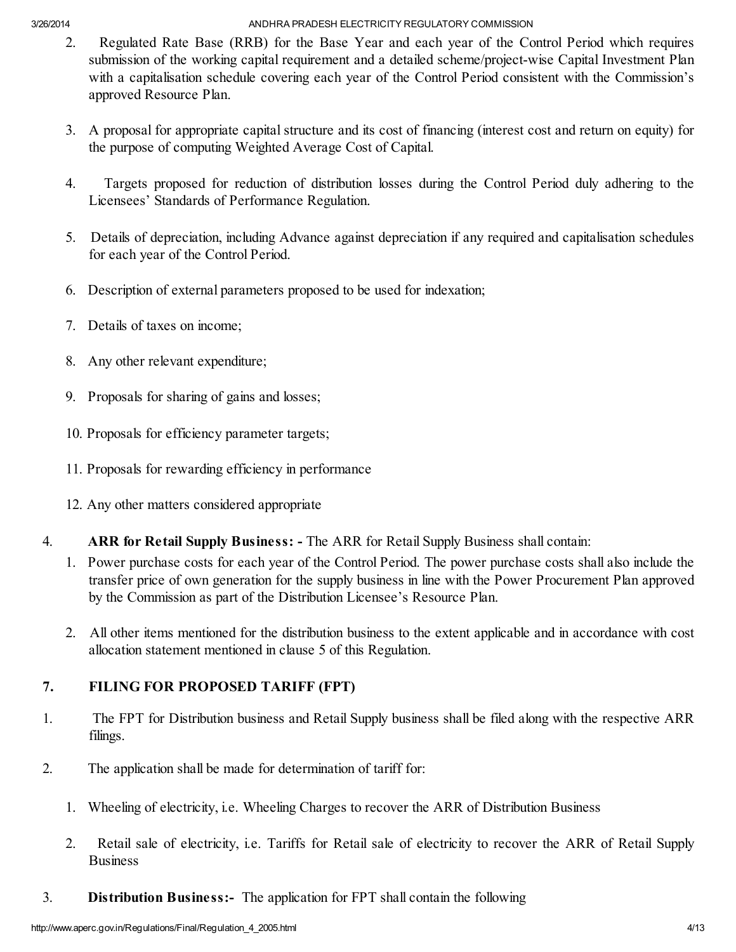- 2. Regulated Rate Base (RRB) for the Base Year and each year of the Control Period which requires submission of the working capital requirement and a detailed scheme/project-wise Capital Investment Plan with a capitalisation schedule covering each year of the Control Period consistent with the Commission's approved Resource Plan.
- 3. A proposal for appropriate capital structure and its cost of financing (interest cost and return on equity) for the purpose of computing Weighted Average Cost of Capital.
- 4. Targets proposed for reduction of distribution losses during the Control Period duly adhering to the Licensees' Standards of Performance Regulation.
- 5. Details of depreciation, including Advance against depreciation if any required and capitalisation schedules for each year of the Control Period.
- 6. Description of external parameters proposed to be used for indexation;
- 7. Details of taxes on income;
- 8. Any other relevant expenditure;
- 9. Proposals for sharing of gains and losses;
- 10. Proposals for efficiency parameter targets;
- 11. Proposals for rewarding efficiency in performance
- 12. Any other matters considered appropriate
- 4. ARR for Retail Supply Business: The ARR for Retail Supply Business shall contain:
	- 1. Power purchase costs for each year of the Control Period. The power purchase costs shall also include the transfer price of own generation for the supply business in line with the Power Procurement Plan approved by the Commission as part of the Distribution Licensee's Resource Plan.
	- 2. All other items mentioned for the distribution business to the extent applicable and in accordance with cost allocation statement mentioned in clause 5 of this Regulation.

# 7. FILING FOR PROPOSED TARIFF (FPT)

- 1. The FPT for Distribution business and Retail Supply business shall be filed along with the respective ARR filings.
- 2. The application shall be made for determination of tariff for:
	- 1. Wheeling of electricity, i.e. Wheeling Charges to recover the ARR of Distribution Business
	- 2. Retail sale of electricity, i.e. Tariffs for Retail sale of electricity to recover the ARR of Retail Supply Business
- 3. Distribution Business:- The application for FPT shall contain the following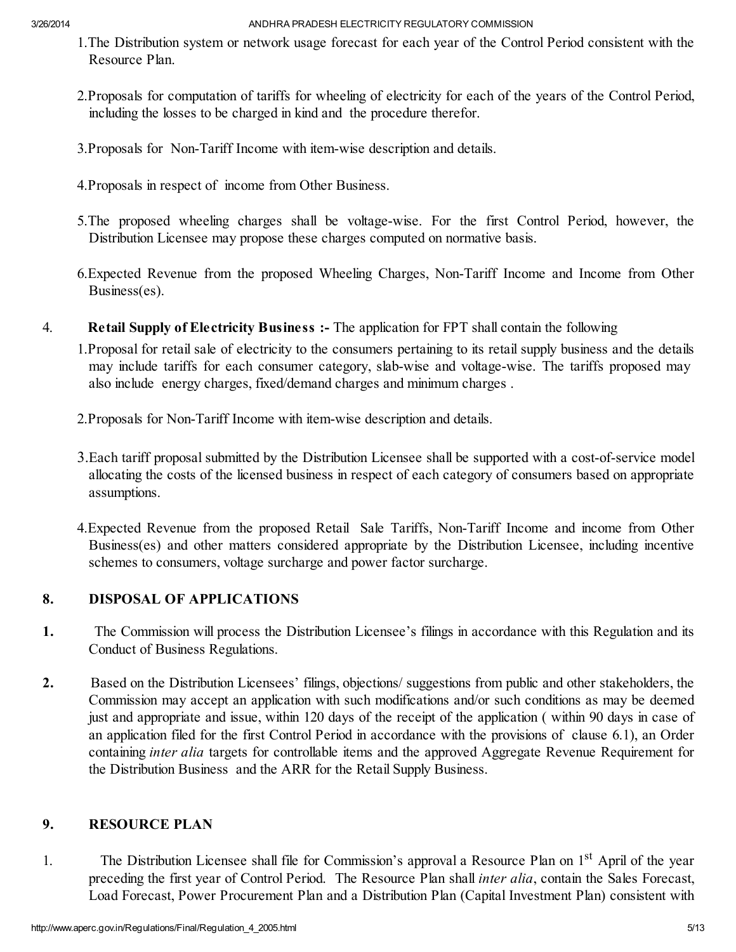- 1.The Distribution system or network usage forecast for each year of the Control Period consistent with the Resource Plan.
- 2.Proposals for computation of tariffs for wheeling of electricity for each of the years of the Control Period, including the losses to be charged in kind and the procedure therefor.
- 3.Proposals for Non-Tariff Income with item-wise description and details.
- 4.Proposals in respect of income from Other Business.
- 5.The proposed wheeling charges shall be voltage-wise. For the first Control Period, however, the Distribution Licensee may propose these charges computed on normative basis.
- 6.Expected Revenue from the proposed Wheeling Charges, Non-Tariff Income and Income from Other Business(es).
- 4. Retail Supply of Electricity Business :- The application for FPT shall contain the following
	- 1.Proposal for retail sale of electricity to the consumers pertaining to its retail supply business and the details may include tariffs for each consumer category, slab-wise and voltage-wise. The tariffs proposed may also include energy charges, fixed/demand charges and minimum charges .
	- 2.Proposals for Non-Tariff Income with item-wise description and details.
	- 3.Each tariff proposal submitted by the Distribution Licensee shall be supported with a cost-of-service model allocating the costs of the licensed business in respect of each category of consumers based on appropriate assumptions.
	- 4.Expected Revenue from the proposed Retail Sale Tariffs, Non-Tariff Income and income from Other Business(es) and other matters considered appropriate by the Distribution Licensee, including incentive schemes to consumers, voltage surcharge and power factor surcharge.

# 8. DISPOSAL OF APPLICATIONS

- 1. The Commission will process the Distribution Licensee's filings in accordance with this Regulation and its Conduct of Business Regulations.
- 2. Based on the Distribution Licensees' filings, objections/ suggestions from public and other stakeholders, the Commission may accept an application with such modifications and/or such conditions as may be deemed just and appropriate and issue, within 120 days of the receipt of the application ( within 90 days in case of an application filed for the first Control Period in accordance with the provisions of clause 6.1), an Order containing *inter alia* targets for controllable items and the approved Aggregate Revenue Requirement for the Distribution Business and the ARR for the Retail Supply Business.

## 9. RESOURCE PLAN

1. The Distribution Licensee shall file for Commission's approval a Resource Plan on 1<sup>st</sup> April of the year preceding the first year of Control Period. The Resource Plan shall *inter alia*, contain the Sales Forecast, Load Forecast, Power Procurement Plan and a Distribution Plan (Capital Investment Plan) consistent with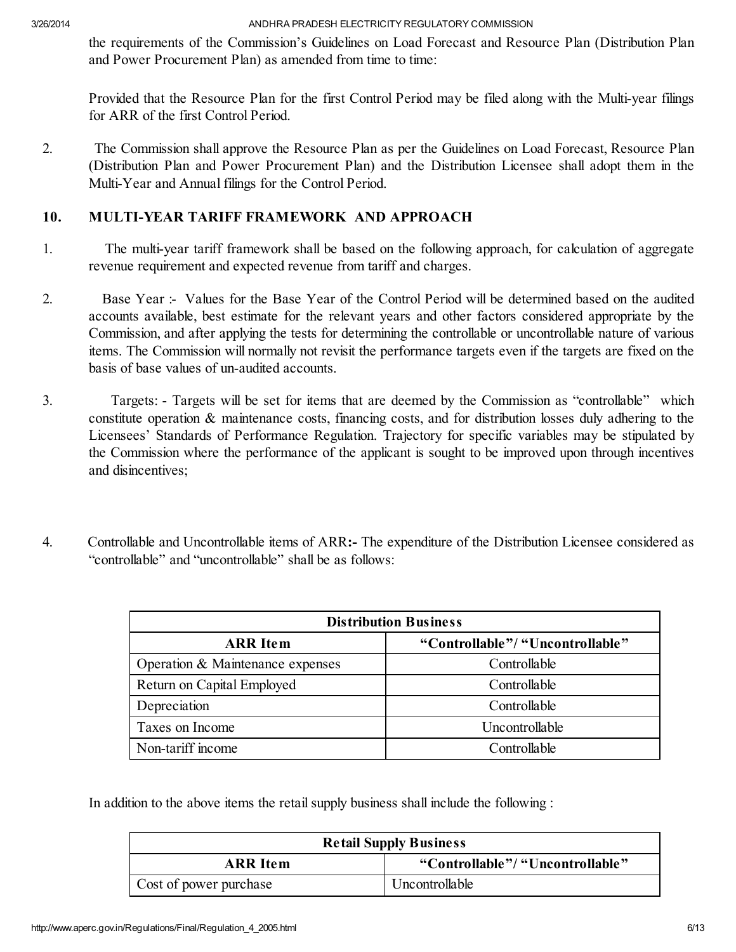the requirements of the Commission's Guidelines on Load Forecast and Resource Plan (Distribution Plan and Power Procurement Plan) as amended from time to time:

Provided that the Resource Plan for the first Control Period may be filed along with the Multi-year filings for ARR of the first Control Period.

2. The Commission shall approve the Resource Plan as per the Guidelines on Load Forecast, Resource Plan (Distribution Plan and Power Procurement Plan) and the Distribution Licensee shall adopt them in the Multi-Year and Annual filings for the Control Period.

## 10. MULTI-YEAR TARIFF FRAMEWORK AND APPROACH

- 1. The multi-year tariff framework shall be based on the following approach, for calculation of aggregate revenue requirement and expected revenue from tariff and charges.
- 2. Base Year :- Values for the Base Year of the Control Period will be determined based on the audited accounts available, best estimate for the relevant years and other factors considered appropriate by the Commission, and after applying the tests for determining the controllable or uncontrollable nature of various items. The Commission will normally not revisit the performance targets even if the targets are fixed on the basis of base values of un-audited accounts.
- 3. Targets: Targets will be set for items that are deemed by the Commission as "controllable" which constitute operation & maintenance costs, financing costs, and for distribution losses duly adhering to the Licensees' Standards of Performance Regulation. Trajectory for specific variables may be stipulated by the Commission where the performance of the applicant is sought to be improved upon through incentives and disincentives;
- 4. Controllable and Uncontrollable items of ARR:- The expenditure of the Distribution Licensee considered as "controllable" and "uncontrollable" shall be as follows:

| <b>Distribution Business</b>     |                                  |
|----------------------------------|----------------------------------|
| <b>ARR</b> Item                  | "Controllable"/ "Uncontrollable" |
| Operation & Maintenance expenses | Controllable                     |
| Return on Capital Employed       | Controllable                     |
| Depreciation                     | Controllable                     |
| Taxes on Income                  | Uncontrollable                   |
| Non-tariff income                | Controllable                     |

In addition to the above items the retail supply business shall include the following :

| <b>Retail Supply Business</b> |                                  |
|-------------------------------|----------------------------------|
| <b>ARR</b> Item               | "Controllable"/ "Uncontrollable" |
| Cost of power purchase        | Uncontrollable                   |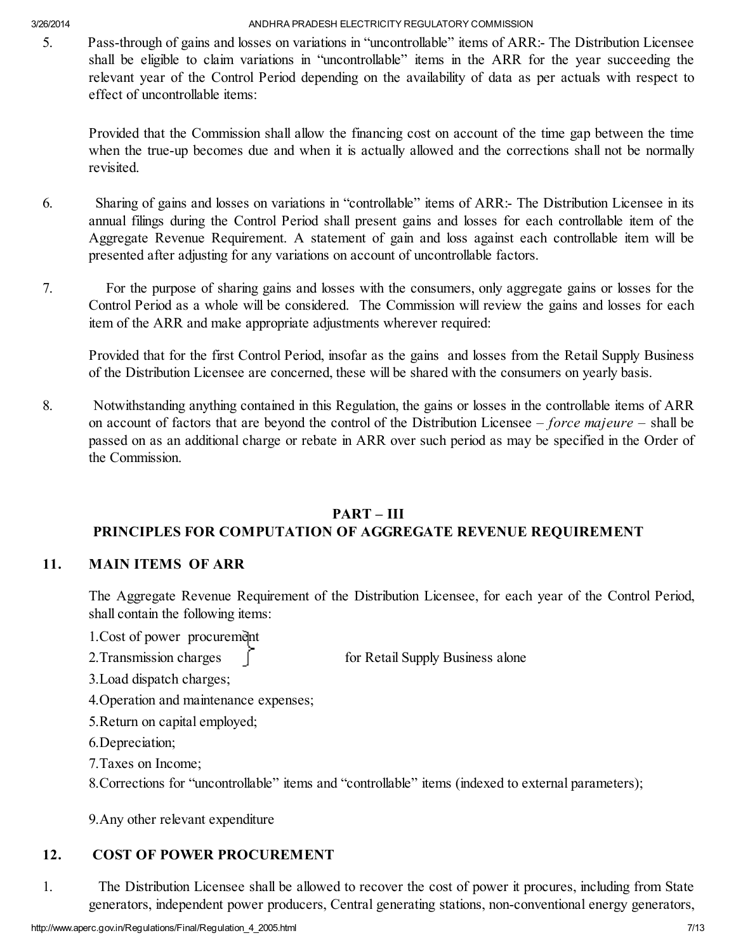5. Pass-through of gains and losses on variations in "uncontrollable" items of ARR:- The Distribution Licensee shall be eligible to claim variations in "uncontrollable" items in the ARR for the year succeeding the relevant year of the Control Period depending on the availability of data as per actuals with respect to effect of uncontrollable items:

Provided that the Commission shall allow the financing cost on account of the time gap between the time when the true-up becomes due and when it is actually allowed and the corrections shall not be normally revisited.

- 6. Sharing of gains and losses on variations in "controllable" items of ARR:- The Distribution Licensee in its annual filings during the Control Period shall present gains and losses for each controllable item of the Aggregate Revenue Requirement. A statement of gain and loss against each controllable item will be presented after adjusting for any variations on account of uncontrollable factors.
- 7. For the purpose of sharing gains and losses with the consumers, only aggregate gains or losses for the Control Period as a whole will be considered. The Commission will review the gains and losses for each item of the ARR and make appropriate adjustments wherever required:

Provided that for the first Control Period, insofar as the gains and losses from the Retail Supply Business of the Distribution Licensee are concerned, these will be shared with the consumers on yearly basis.

8. Notwithstanding anything contained in this Regulation, the gains or losses in the controllable items of ARR on account of factors that are beyond the control of the Distribution Licensee – *force majeure* – shall be passed on as an additional charge or rebate in ARR over such period as may be specified in the Order of the Commission.

### PART – III PRINCIPLES FOR COMPUTATION OF AGGREGATE REVENUE REQUIREMENT

## 11. MAIN ITEMS OF ARR

The Aggregate Revenue Requirement of the Distribution Licensee, for each year of the Control Period, shall contain the following items:

- 1. Cost of power procurement
- 2. Transmission charges  $\int$  for Retail Supply Business alone
- 3.Load dispatch charges;
- 4.Operation and maintenance expenses;
- 5.Return on capital employed;
- 6.Depreciation;
- 7.Taxes on Income;
- 8.Corrections for "uncontrollable" items and "controllable" items (indexed to external parameters);

9.Any other relevant expenditure

# 12. COST OF POWER PROCUREMENT

1. The Distribution Licensee shall be allowed to recover the cost of power it procures, including from State generators, independent power producers, Central generating stations, non-conventional energy generators,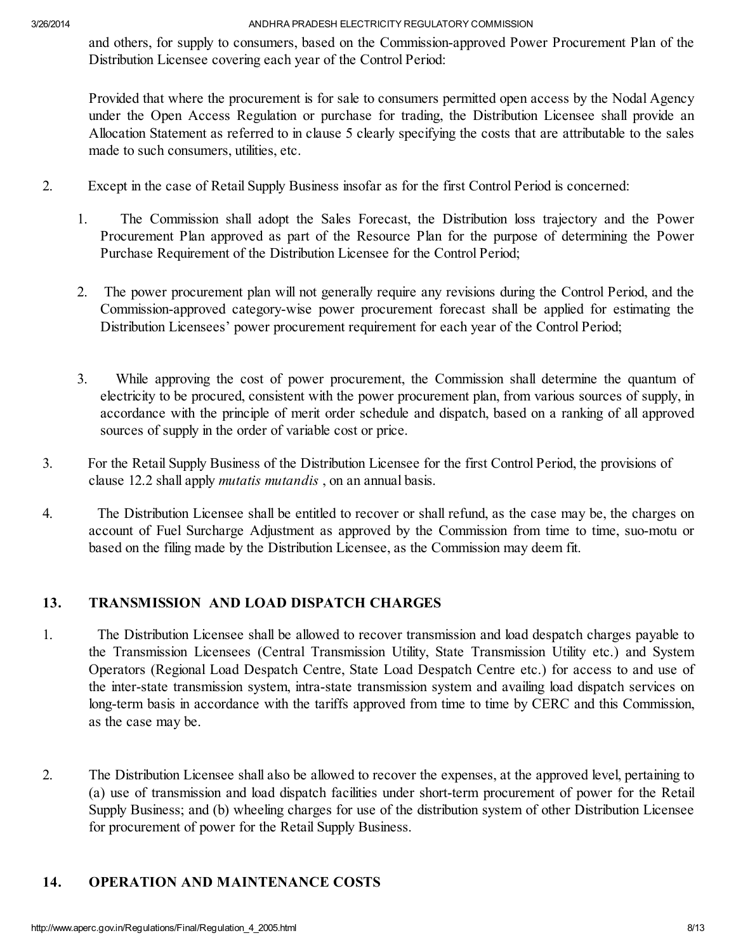and others, for supply to consumers, based on the Commission-approved Power Procurement Plan of the Distribution Licensee covering each year of the Control Period:

Provided that where the procurement is for sale to consumers permitted open access by the Nodal Agency under the Open Access Regulation or purchase for trading, the Distribution Licensee shall provide an Allocation Statement as referred to in clause 5 clearly specifying the costs that are attributable to the sales made to such consumers, utilities, etc.

- 2. Except in the case of Retail Supply Business insofar as for the first Control Period is concerned:
	- 1. The Commission shall adopt the Sales Forecast, the Distribution loss trajectory and the Power Procurement Plan approved as part of the Resource Plan for the purpose of determining the Power Purchase Requirement of the Distribution Licensee for the Control Period;
	- 2. The power procurement plan will not generally require any revisions during the Control Period, and the Commission-approved category-wise power procurement forecast shall be applied for estimating the Distribution Licensees' power procurement requirement for each year of the Control Period;
	- 3. While approving the cost of power procurement, the Commission shall determine the quantum of electricity to be procured, consistent with the power procurement plan, from various sources of supply, in accordance with the principle of merit order schedule and dispatch, based on a ranking of all approved sources of supply in the order of variable cost or price.
- 3. For the Retail Supply Business of the Distribution Licensee for the first Control Period, the provisions of clause 12.2 shall apply *mutatis mutandis* , on an annual basis.
- 4. The Distribution Licensee shall be entitled to recover or shall refund, as the case may be, the charges on account of Fuel Surcharge Adjustment as approved by the Commission from time to time, suo-motu or based on the filing made by the Distribution Licensee, as the Commission may deem fit.

## 13. TRANSMISSION AND LOAD DISPATCH CHARGES

- 1. The Distribution Licensee shall be allowed to recover transmission and load despatch charges payable to the Transmission Licensees (Central Transmission Utility, State Transmission Utility etc.) and System Operators (Regional Load Despatch Centre, State Load Despatch Centre etc.) for access to and use of the inter-state transmission system, intra-state transmission system and availing load dispatch services on long-term basis in accordance with the tariffs approved from time to time by CERC and this Commission, as the case may be.
- 2. The Distribution Licensee shall also be allowed to recover the expenses, at the approved level, pertaining to (a) use of transmission and load dispatch facilities under short-term procurement of power for the Retail Supply Business; and (b) wheeling charges for use of the distribution system of other Distribution Licensee for procurement of power for the Retail Supply Business.

## 14. OPERATION AND MAINTENANCE COSTS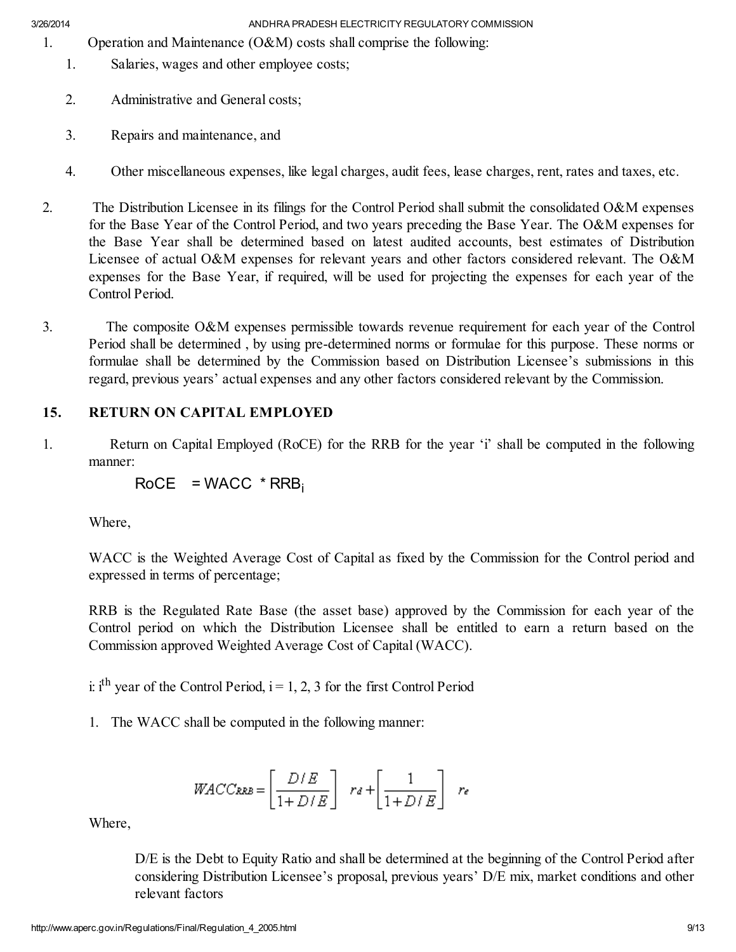- 1. Operation and Maintenance (O&M) costs shall comprise the following:
	- 1. Salaries, wages and other employee costs;
	- 2. Administrative and General costs;
	- 3. Repairs and maintenance, and
	- 4. Other miscellaneous expenses, like legal charges, audit fees, lease charges, rent, rates and taxes, etc.
- 2. The Distribution Licensee in its filings for the Control Period shall submit the consolidated O&M expenses for the Base Year of the Control Period, and two years preceding the Base Year. The O&M expenses for the Base Year shall be determined based on latest audited accounts, best estimates of Distribution Licensee of actual O&M expenses for relevant years and other factors considered relevant. The O&M expenses for the Base Year, if required, will be used for projecting the expenses for each year of the Control Period.
- 3. The composite O&M expenses permissible towards revenue requirement for each year of the Control Period shall be determined , by using pre-determined norms or formulae for this purpose. These norms or formulae shall be determined by the Commission based on Distribution Licensee's submissions in this regard, previous years' actual expenses and any other factors considered relevant by the Commission.

# 15. RETURN ON CAPITAL EMPLOYED

1. Return on Capital Employed (RoCE) for the RRB for the year 'i' shall be computed in the following manner:

 $RoCE = WACC * RRB_i$ 

Where,

WACC is the Weighted Average Cost of Capital as fixed by the Commission for the Control period and expressed in terms of percentage;

RRB is the Regulated Rate Base (the asset base) approved by the Commission for each year of the Control period on which the Distribution Licensee shall be entitled to earn a return based on the Commission approved Weighted Average Cost of Capital (WACC).

i: i<sup>th</sup> year of the Control Period,  $i = 1, 2, 3$  for the first Control Period

1. The WACC shall be computed in the following manner:

$$
WACC_{RRB} = \left[\frac{D/E}{1 + D/E}\right] \ r_d + \left[\frac{1}{1 + D/E}\right] \ r_e
$$

Where,

D/E is the Debt to Equity Ratio and shall be determined at the beginning of the Control Period after considering Distribution Licensee's proposal, previous years' D/E mix, market conditions and other relevant factors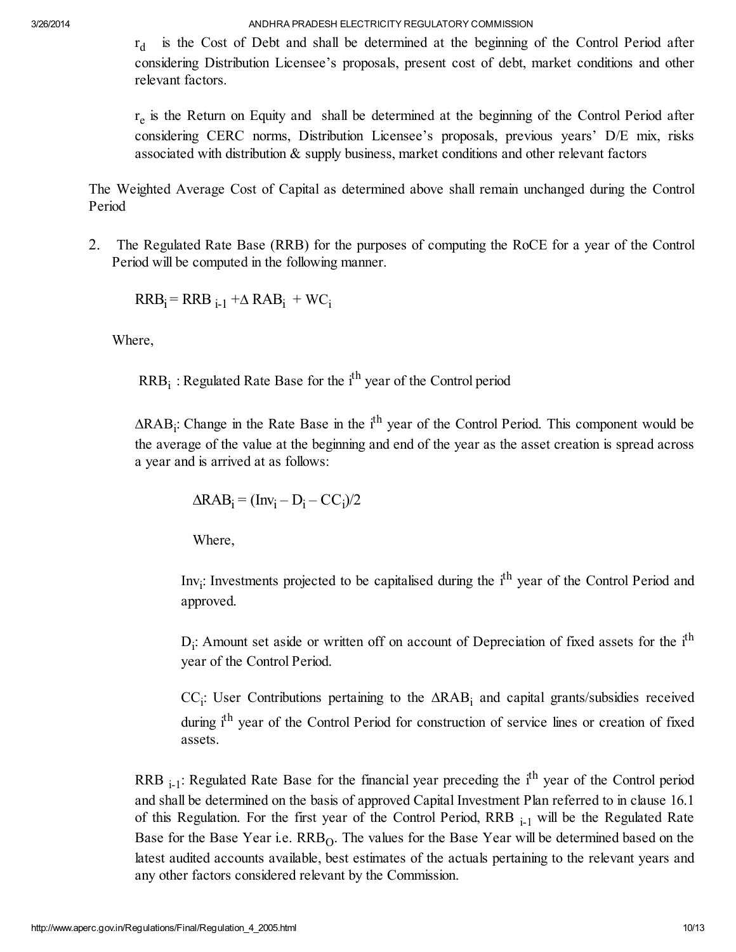$r_d$ is the Cost of Debt and shall be determined at the beginning of the Control Period after considering Distribution Licensee's proposals, present cost of debt, market conditions and other relevant factors.

 $r_e$  is the Return on Equity and shall be determined at the beginning of the Control Period after considering CERC norms, Distribution Licensee's proposals, previous years' D/E mix, risks associated with distribution & supply business, market conditions and other relevant factors

The Weighted Average Cost of Capital as determined above shall remain unchanged during the Control Period

2. The Regulated Rate Base (RRB) for the purposes of computing the RoCE for a year of the Control Period will be computed in the following manner.

 $RRB_i = RRB_{i-1} + \Delta RAB_i + WC_i$ 

Where,

 $RRB_i$ : Regulated Rate Base for the  $i<sup>th</sup>$  year of the Control period

∆RAB<sub>i</sub>: Change in the Rate Base in the i<sup>th</sup> year of the Control Period. This component would be the average of the value at the beginning and end of the year as the asset creation is spread across a year and is arrived at as follows:

$$
\Delta RAB_i = (Inv_i - D_i - CC_i)/2
$$

Where,

Inv<sub>i</sub>: Investments projected to be capitalised during the i<sup>th</sup> year of the Control Period and approved.

 $D_i$ : Amount set aside or written off on account of Depreciation of fixed assets for the  $i<sup>th</sup>$ year of the Control Period.

CC<sub>i</sub>: User Contributions pertaining to the ∆RAB<sub>i</sub> and capital grants/subsidies received during i<sup>th</sup> year of the Control Period for construction of service lines or creation of fixed assets.

RRB  $_{i-1}$ : Regulated Rate Base for the financial year preceding the i<sup>th</sup> year of the Control period and shall be determined on the basis of approved Capital Investment Plan referred to in clause 16.1 of this Regulation. For the first year of the Control Period, RRB  $_{i-1}$  will be the Regulated Rate Base for the Base Year i.e.  $RRB<sub>O</sub>$ . The values for the Base Year will be determined based on the latest audited accounts available, best estimates of the actuals pertaining to the relevant years and any other factors considered relevant by the Commission.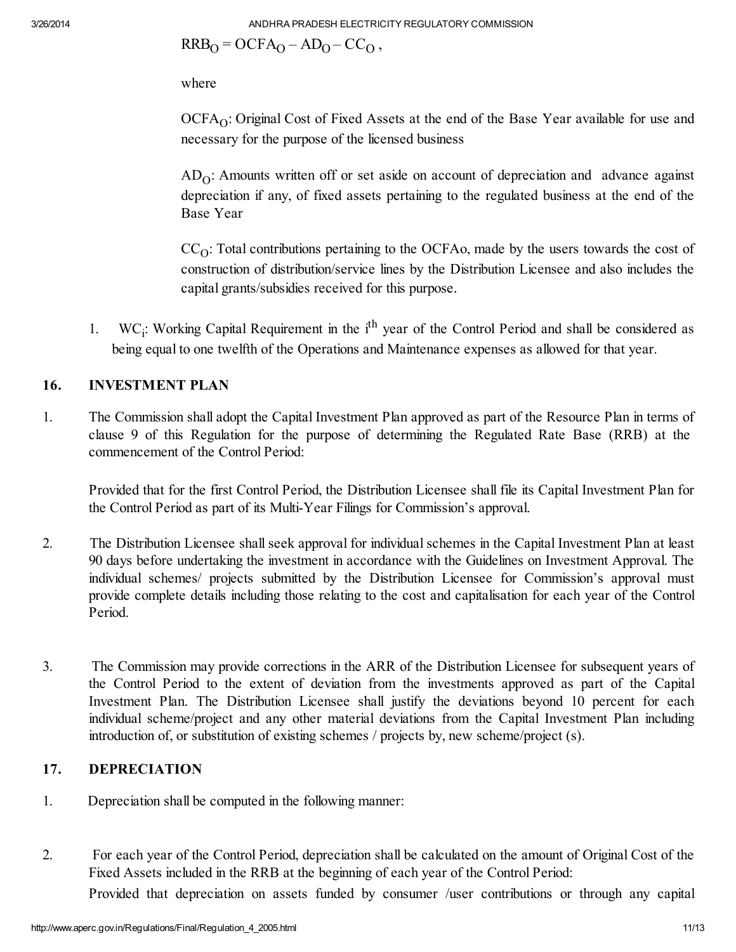$RRB<sub>O</sub> = OCFA<sub>O</sub> - AD<sub>O</sub> - CC<sub>O</sub>$ ,

where

 $OCFA<sub>O</sub>$ : Original Cost of Fixed Assets at the end of the Base Year available for use and necessary for the purpose of the licensed business

 $AD<sub>O</sub>$ : Amounts written off or set aside on account of depreciation and advance against depreciation if any, of fixed assets pertaining to the regulated business at the end of the Base Year

 $CC<sub>O</sub>$ : Total contributions pertaining to the OCFA<sub>o</sub>, made by the users towards the cost of construction of distribution/service lines by the Distribution Licensee and also includes the capital grants/subsidies received for this purpose.

1. WC<sub>i</sub>: Working Capital Requirement in the i<sup>th</sup> year of the Control Period and shall be considered as being equal to one twelfth of the Operations and Maintenance expenses as allowed for that year.

# 16. INVESTMENT PLAN

1. The Commission shall adopt the Capital Investment Plan approved as part of the Resource Plan in terms of clause 9 of this Regulation for the purpose of determining the Regulated Rate Base (RRB) at the commencement of the Control Period:

Provided that for the first Control Period, the Distribution Licensee shall file its Capital Investment Plan for the Control Period as part of its Multi-Year Filings for Commission's approval.

- 2. The Distribution Licensee shall seek approval for individual schemes in the Capital Investment Plan at least 90 days before undertaking the investment in accordance with the Guidelines on Investment Approval. The individual schemes/ projects submitted by the Distribution Licensee for Commission's approval must provide complete details including those relating to the cost and capitalisation for each year of the Control Period.
- 3. The Commission may provide corrections in the ARR of the Distribution Licensee for subsequent years of the Control Period to the extent of deviation from the investments approved as part of the Capital Investment Plan. The Distribution Licensee shall justify the deviations beyond 10 percent for each individual scheme/project and any other material deviations from the Capital Investment Plan including introduction of, or substitution of existing schemes / projects by, new scheme/project (s).

# 17. DEPRECIATION

- 1. Depreciation shall be computed in the following manner:
- 2. For each year of the Control Period, depreciation shall be calculated on the amount of Original Cost of the Fixed Assets included in the RRB at the beginning of each year of the Control Period:

Provided that depreciation on assets funded by consumer /user contributions or through any capital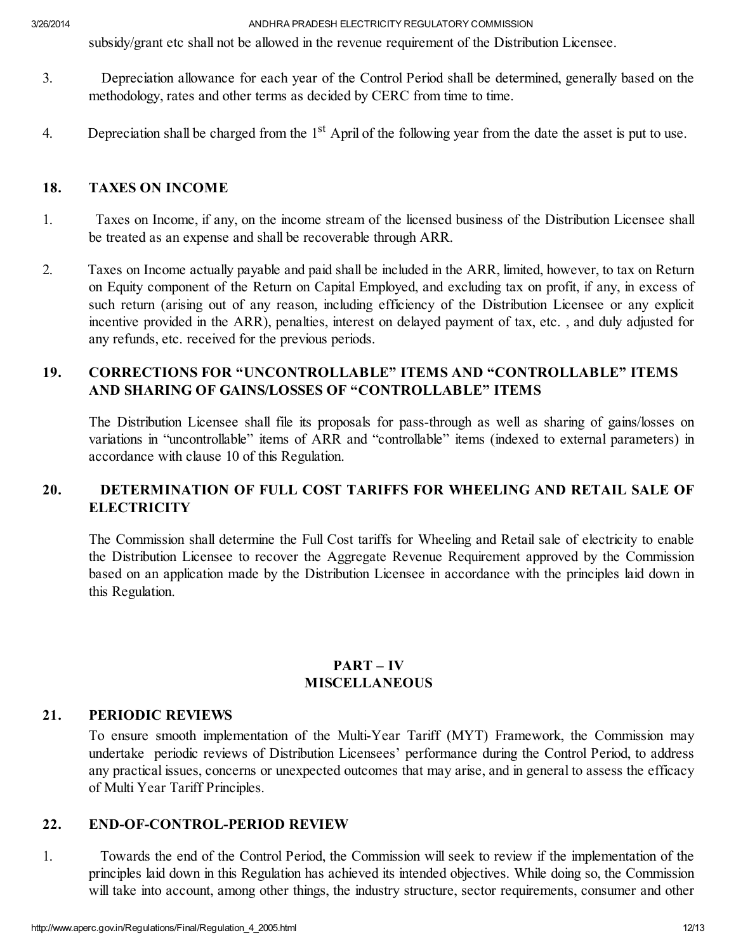subsidy/grant etc shall not be allowed in the revenue requirement of the Distribution Licensee.

- 3. Depreciation allowance for each year of the Control Period shall be determined, generally based on the methodology, rates and other terms as decided by CERC from time to time.
- 4. Depreciation shall be charged from the  $1<sup>st</sup>$  April of the following year from the date the asset is put to use.

### 18. TAXES ON INCOME

- 1. Taxes on Income, if any, on the income stream of the licensed business of the Distribution Licensee shall be treated as an expense and shall be recoverable through ARR.
- 2. Taxes on Income actually payable and paid shall be included in the ARR, limited, however, to tax on Return on Equity component of the Return on Capital Employed, and excluding tax on profit, if any, in excess of such return (arising out of any reason, including efficiency of the Distribution Licensee or any explicit incentive provided in the ARR), penalties, interest on delayed payment of tax, etc. , and duly adjusted for any refunds, etc. received for the previous periods.

## 19. CORRECTIONS FOR "UNCONTROLLABLE" ITEMS AND "CONTROLLABLE" ITEMS AND SHARING OF GAINS/LOSSES OF "CONTROLLABLE" ITEMS

The Distribution Licensee shall file its proposals for pass-through as well as sharing of gains/losses on variations in "uncontrollable" items of ARR and "controllable" items (indexed to external parameters) in accordance with clause 10 of this Regulation.

## 20. DETERMINATION OF FULL COST TARIFFS FOR WHEELING AND RETAIL SALE OF **ELECTRICITY**

The Commission shall determine the Full Cost tariffs for Wheeling and Retail sale of electricity to enable the Distribution Licensee to recover the Aggregate Revenue Requirement approved by the Commission based on an application made by the Distribution Licensee in accordance with the principles laid down in this Regulation.

## PART – IV **MISCELLANEOUS**

#### 21. PERIODIC REVIEWS

To ensure smooth implementation of the Multi-Year Tariff (MYT) Framework, the Commission may undertake periodic reviews of Distribution Licensees' performance during the Control Period, to address any practical issues, concerns or unexpected outcomes that may arise, and in general to assess the efficacy of Multi Year Tariff Principles.

#### 22. END-OF-CONTROL-PERIOD REVIEW

1. Towards the end of the Control Period, the Commission will seek to review if the implementation of the principles laid down in this Regulation has achieved its intended objectives. While doing so, the Commission will take into account, among other things, the industry structure, sector requirements, consumer and other